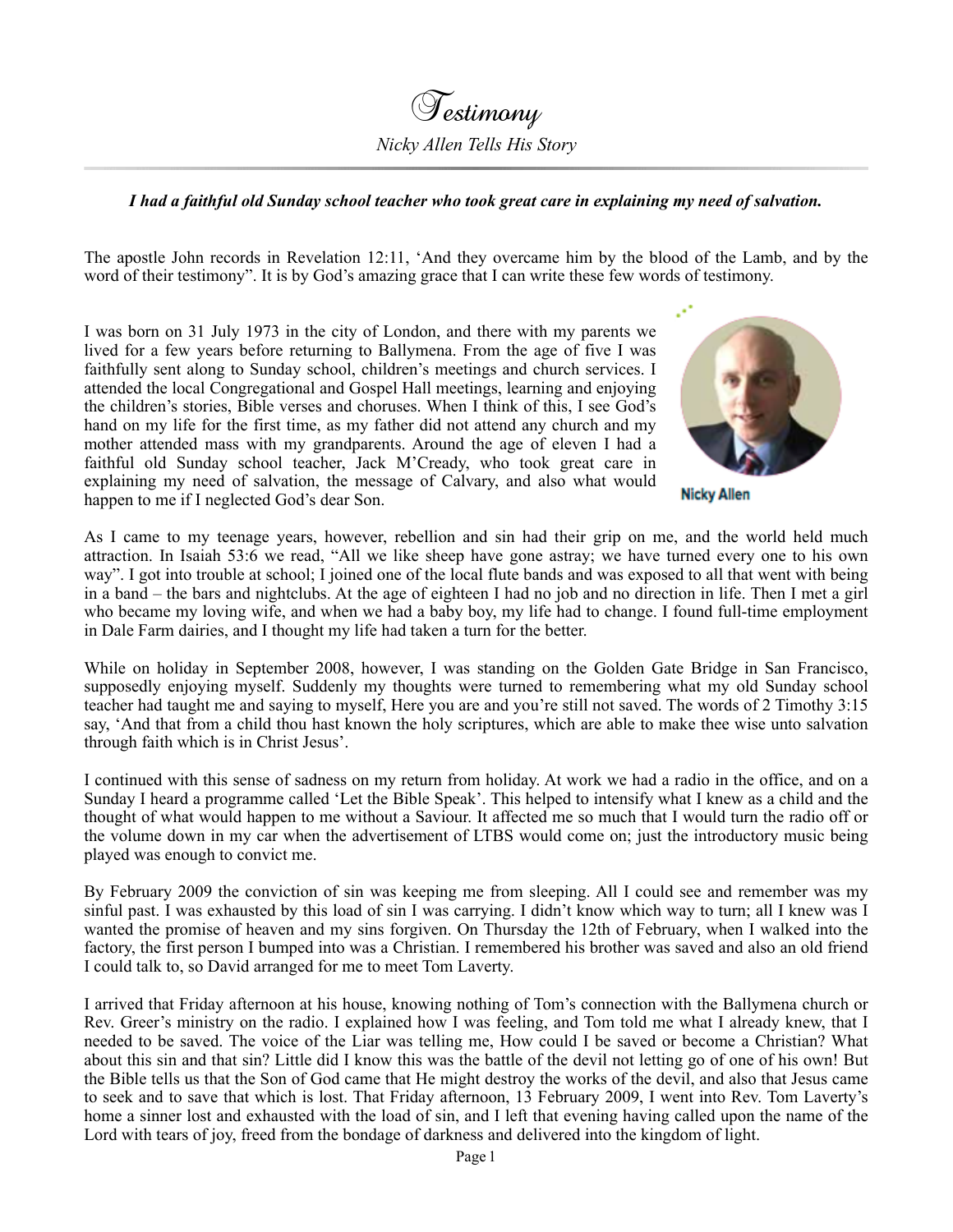

## *I had a faithful old Sunday school teacher who took great care in explaining my need of salvation.*

The apostle John records in Revelation 12:11, 'And they overcame him by the blood of the Lamb, and by the word of their testimony". It is by God's amazing grace that I can write these few words of testimony.

I was born on 31 July 1973 in the city of London, and there with my parents we lived for a few years before returning to Ballymena. From the age of five I was faithfully sent along to Sunday school, children's meetings and church services. I attended the local Congregational and Gospel Hall meetings, learning and enjoying the children's stories, Bible verses and choruses. When I think of this, I see God's hand on my life for the first time, as my father did not attend any church and my mother attended mass with my grandparents. Around the age of eleven I had a faithful old Sunday school teacher, Jack M'Cready, who took great care in explaining my need of salvation, the message of Calvary, and also what would happen to me if I neglected God's dear Son.



**Nicky Allen** 

As I came to my teenage years, however, rebellion and sin had their grip on me, and the world held much attraction. In Isaiah 53:6 we read, "All we like sheep have gone astray; we have turned every one to his own way". I got into trouble at school; I joined one of the local flute bands and was exposed to all that went with being in a band – the bars and nightclubs. At the age of eighteen I had no job and no direction in life. Then I met a girl who became my loving wife, and when we had a baby boy, my life had to change. I found full-time employment in Dale Farm dairies, and I thought my life had taken a turn for the better.

While on holiday in September 2008, however, I was standing on the Golden Gate Bridge in San Francisco, supposedly enjoying myself. Suddenly my thoughts were turned to remembering what my old Sunday school teacher had taught me and saying to myself, Here you are and you're still not saved. The words of 2 Timothy 3:15 say, 'And that from a child thou hast known the holy scriptures, which are able to make thee wise unto salvation through faith which is in Christ Jesus'.

I continued with this sense of sadness on my return from holiday. At work we had a radio in the office, and on a Sunday I heard a programme called 'Let the Bible Speak'. This helped to intensify what I knew as a child and the thought of what would happen to me without a Saviour. It affected me so much that I would turn the radio off or the volume down in my car when the advertisement of LTBS would come on; just the introductory music being played was enough to convict me.

By February 2009 the conviction of sin was keeping me from sleeping. All I could see and remember was my sinful past. I was exhausted by this load of sin I was carrying. I didn't know which way to turn; all I knew was I wanted the promise of heaven and my sins forgiven. On Thursday the 12th of February, when I walked into the factory, the first person I bumped into was a Christian. I remembered his brother was saved and also an old friend I could talk to, so David arranged for me to meet Tom Laverty.

I arrived that Friday afternoon at his house, knowing nothing of Tom's connection with the Ballymena church or Rev. Greer's ministry on the radio. I explained how I was feeling, and Tom told me what I already knew, that I needed to be saved. The voice of the Liar was telling me, How could I be saved or become a Christian? What about this sin and that sin? Little did I know this was the battle of the devil not letting go of one of his own! But the Bible tells us that the Son of God came that He might destroy the works of the devil, and also that Jesus came to seek and to save that which is lost. That Friday afternoon, 13 February 2009, I went into Rev. Tom Laverty's home a sinner lost and exhausted with the load of sin, and I left that evening having called upon the name of the Lord with tears of joy, freed from the bondage of darkness and delivered into the kingdom of light.